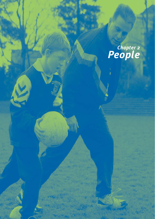# *Chapter 2 People*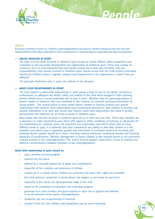



**13**

### **PEOPLE**

*Everyone involved in sport i.e. children, parents/guardians and Sports Leaders should accept the role and responsibilities that they undertake in their commitment to maintaining an enjoyable and safe environment.*

# **2.1 ADULTS INVOLVED IN SPORT**

The roles of every adult involved in children's sport should be clearly defined. Many leadership roles contribute to the successful development and organisation of children's sport. These may overlap on occasions, but it is very important that each Sports Leader has a clear idea of his/her role and responsibilities. Each person involved in children's sport should ensure that the *Code of Ethics and Good Practice for Children's Sport* is agreed, adopted and implemented in the organisation to which they are affiliated.

The principal leadership roles in sport are outlined in the Glossary.

# **2.2 ADULT-CHILD RELATIONSHIPS IN SPORT**

The trust implicit in adult-child relationships in sport places a duty of care on all adults, voluntary or professional, to safeguard the health, safety and welfare of the child while engaged in their sporting activity. Adults have a crucial leadership role to play in sport. Whether they are parents/guardians or Sports Leaders or teachers, they can contribute to the creation of a positive sporting environment for young people. The unique nature of sport allows Sports Leaders to develop positive and special relationships with children. Such relationships have tremendous potential to help children to develop and express themselves in an open and secure way. Positive adult-child relationships will result in growth, development and fulfilment for all those involved in children's sport.

Most adults who become involved in children's sport do so in their own free time. There may, therefore, be a reluctance to make impositions upon them with regard to either conditions of training, or reproaches for any misdemeanours. However, given the important and responsible roles which adults play at many different levels in sport, it is essential that their competence and ability to deal with children in a fair, empathic and ethical way is supported, guided and maintained. A consistent method of recruiting and selecting Sports Leaders should be in place, including seeking references, confirming identity and checking adequacy of qualifications. Effective management of Sports Leaders is also equally central to the promotion of good practice in the club/organisation. This should include support, supervision, access to training and effective communication between members of the club/organisation.

# **Adult-child relationships in sport should be:**

- open, positive and encouraging
- entered into by choice
- defined by a mutually agreed set of goals and commitments
- respectful of the creativity and autonomy of children
- carried out in a context where children are protected and where their rights are promoted
- free from physical, emotional or sexual abuse and neglect or any threat of such harm
- respectful of the needs and developmental stage of the child
- aimed at the promotion of enjoyment and individual progress
- governed by a code of ethics and good practice in sport that is agreed and adhered to by all members of the sports club/organisation
- respectful, but not unquestioning of authority
- mindful of the fact that children with disabilities may be more vulnerable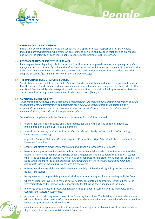

# **2.3 CHILD TO CHILD RELATIONSHIPS**

Interaction between children should be conducted in a spirit of mutual respect and fair play. Adults including parents/guardians, who create an environment in which quality, open relationships are valued and where the integrity of each individual is respected, can promote such interaction.

*People*

# **2.4 RESPONSIBILITIES OF PARENTS /GUARDIANS**

Parents/guardians play a key role in the promotion of an ethical approach to sport and young people's enjoyment in sport. Parents/guardians therefore need to be aware, informed and involved in promoting the safest possible environment for children to enjoy their participation in sport. Sports Leaders need the support of parents/guardians in conveying the fair play message.

## **2.5 THE IMPORTANT ROLE OF SPORTS LEADERS**

Sports Leaders play a vital role in children's sport. Sports organisations and sports groups should ensure that the work of Sports Leaders which occurs mainly on a voluntary basis, is guided by this Code of Ethics and Good Practice whilst also recognising that they are entitled to obtain a healthy sense of achievement and satisfaction through their involvement in children's sport. (See 4.1)

#### **2.6 GOVERNING BODIES OF SPORT**

*A Governing Body of Sport is the organisation recognised by the respective international federation as being responsible for the administration of a particular sport on a countrywide basis or the national body responsible for national games. The Governing Body is responsible for overseeing the adoption and implementation of this Code by all its affiliated members.*

To maximise compliance with the Code, each Governing Body of Sport should:

- ensure that the Code of Ethics and Good Practice for Children's Sport is adopted, agreed to, implemented and signed up to by all members
- amend, as necessary, its Constitution to reflect a safe and clearly defined method of recruiting, selecting and managing
- appoint a National Children's Officer/Designated Person (See 2.8/9). S/he should be a member of the Executive Committee
- ensure that effective disciplinary, complaints and appeals procedures are in place
- have in place procedures for dealing with a concern or complaint made to the Statutory Authorities against a committee member or a Sports Leader. Regulations should stipulate that a Sports Leader who is the subject of an allegation, which has been reported to the Statutory Authorities, should stand aside while the matter is being examined. *s/he should be invited to resume full duties when and if appropriate internal disciplinary procedures are completed*
- ensure that all sports clubs with child members are fully affiliated and signed up to the Governing Body's constitution
- be represented by appropriate personnel at all education/training workshops dealing with the Code
- where children are involved in representative teams, designate an appropriate senior officer in the Governing Body as the person with responsibility for following the guidelines of the Code
- review its child protection procedures regularly through open discussion with its members, Sports Councils and Statutory Authorities
- promote contact with representatives of the Statutory Authorities. The building of these relationships will contribute to the creation of an environment in which education and knowledge of child protection issues and procedures are widely known
- examine and take appropriate action in response to any reports or observations of unusual incidents (high rate of transfers, dropouts) received from clubs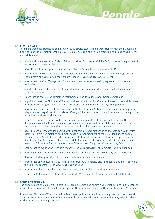

# **2.7 SPORTS CLUBS**

To ensure that best practice is being followed, all sports clubs should work closely with their Governing Body of Sport. In promoting best practice in children's sport and in implementing this Code at club level each club should:

*People*

- adopt and implement the Code of Ethics and Good Practice for Children's Sport as an integral part of its policy on children in the club
- have its constitution approved and adopted by club's members at an AGM or EGM
- promote the voice of the child, in particular through meetings and the AGM. One parent/guardian should have one vote for all their children under 18 years of age, where relevant
- ensure that the Club Management Committee is elected or endorsed by registered club members at each AGM
- adopt and consistently apply a safe and clearly defined method of recruiting and selecting Sports Leaders (See 3.5)
- clearly define the role of committee members, all Sports Leaders and parents/guardians
- appoint at least one Children's Officer as outlined at 2.8.1 in this Code. In the event that a club caters for both boys and girls, one Children's Officer of each gender would ideally be appointed
- have a Designated Person to act as liaison with the Statutory Authorities in relation to the reporting of allegations or suspicions of child abuse. (See 5.12) Any such reports should be made according to the procedures outlined in this Code
- ensure best practice throughout the club by disseminating its code of conduct, including the disciplinary, complaints and appeals procedures in operation within the club to all its members. The club's code of conduct should also be posted in all facilities used by the club
- have in place procedures for dealing with a concern or complaint made to the Statutory Authorities against a committee member or Sports Leader or other members of the club. Regulations should stipulate that a Sports Leader who is the subject of an allegation, which has been reported to the Statutory Authorities, should stand aside, while the matter is being examined. *s/he should be invited to resume full duties when and if appropriate internal disciplinary procedures are completed*
- ensure that relevant Sports Leaders report to the Club Management Committee on a regular basis
- encourage regular turnover of committee membership while ensuring continuity and experience
- develop effective procedures for responding to and recording accidents
- ensure that any unusual activity (high rate of drop-out, transfers, etc.) is checked out and reported by the Club Chairperson to the Governing Body of Sport
- ensure that all club members are given adequate notice of AGMs and other meetings
- ensure that all minutes of all meetings (AGMs/EGMs/, Committee) are recorded and safely filed.

#### **2.8 CHILDREN'S OFFICERS**

The appointment of Children's Officers in Governing Bodies and sports clubs/organisations is an essential element in the creation of a quality atmosphere. They act as a resource with regard to children's issues.

In summary Children's Officers should review current policies in relation to young people, check that all activities are safe and fun, and inform adults of how to deal with any concerns that may arise in relation to the protection of young people.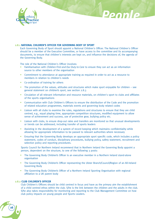

# **2.8.1 NATIONAL CHILDREN'S OFFICER FOR GOVERNING BODY OF SPORT**

Each Governing Body of Sport should appoint a National Children's Officer. The National Children's Officer should be a member of the Executive Committee, or have access to the committee and its accompanying documents, to ensure that children's interests are kept on, and influence the decisions of, the agenda of the Governing Body.

*People*

The role of the National Children's Officer involves:

- Familiarisation with *Children First and Our Duty to Care* to ensure they can act as an information source to other members of the organisation
- Commitment to attendance at appropriate training as required in order to act as a resource to members in relation to children's needs
- Co-ordination of training for others
- The promotion of the values, attitudes and structures which make sport enjoyable for children see general statement on children's sport, see section 2.8.3
- Circulation of all relevant information and resource materials, on children's sport to clubs and affiliates of the sports organisations
- Communication with Club Children's Officers to ensure the distribution of the Code and the promotion of related education programmes, materials events and governing body related codes
- Liaison with all clubs to examine the rules, regulations and structures to ensure that they are child centred, e.g., equal playing time, appropriate competition structures, modified equipment to allow sense of achievement and success, use of protective gear, bullying policy etc.
- Liaison with clubs, to ensure drop-out rates and transfers are monitored so that unusual developments or trends can be addressed, including transfer of sports leaders
- Assisting in the development of a system of record keeping which maintains confidentiality while allowing for appropriate information to be passed to relevant authorities where necessary
- Ensuring that the Governing Body develops an appropriate sport specific code, which includes a policy statement, codes of conduct, disciplinary procedures, bullying policy, safety statement, recruitment and selection policy and reporting procedures.

Sports Council for Northern Ireland recommend that in Northern Ireland the Governing Body appoint a person, dependent on the structure, to one of the following 3 posts:

- The Governing Body Children's Officer is an executive member in a Northern Ireland stand-alone organisation
- The Governing Body Children's Officer representing the Ulster Branch/Council/Region of an All-Ireland Governing Body
- The Governing Body Children's Officer of a Northern Ireland Sporting Organisation with regional affiliation to a UK parent body

# **2.8.2 CLUB CHILDREN'S OFFICER**

**16**

Club Children's Officers should be child centred in focus and have as the primary aim the establishment of a child centred ethos within the club. S/he is the link between the children and the adults in the club. S/he also takes responsibility for monitoring and reporting to the Club Management Committee on how club policy impacts on young people and Sports Leaders.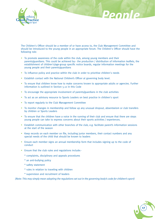

The Children's Officer should be a member of or have access to, the Club Management Committee and should be introduced to the young people in an appropriate forum. The Children's Officer should have the following role:

*People*

- To promote awareness of the code within the club, among young members and their parents/guardians. This could be achieved by:- the production / distribution of information leaflets, the establishment of children's/age-group specific notice boards, regular information meetings for the young people and their parents/guardians
- To influence policy and practice within the club in order to prioritise children's needs
- Establish contact with the National Children's Officer at governing body level.
- To ensure that children know how to make concerns known to appropriate adults or agencies. Further information is outlined in Section 5.12 in this Code
- To encourage the appropriate involvement of parents/guardians in the club activities
- To act as an advisory resource to Sports Leaders on best practice in children's sport
- To report regularly to the Club Management Committee
- To monitor changes in membership and follow up any unusual dropout, absenteeism or club transfers by children or Sports Leaders
- To ensure that the children have a voice in the running of their club and ensure that there are steps young people can take to express concerns about their sports activities / experiences.
- Establish communication with other branches of the club, e.g. facilitate parent's information sessions at the start of the season
- Keep records on each member on file, including junior members, their contact numbers and any special needs of the child that should be known to leaders
- Ensure each member signs an annual membership form that includes signing up to the code of conduct
- Ensure that the club rules and regulations include:-
	- \* complaints, disciplinary and appeals procedures
	- \* an anti-bullying policy
	- \* safety statement
	- \* rules in relation to traveling with children
	- \* supervision and recruitment of leaders

*(Note: This may simply mean adopting the regulations set out in the governing body's code for children's sport)*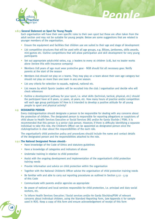

## **2.8.3 General Statement on Sport for Young People**

Each organisation will have their own specific rules to their own sport but these are often taken from the adult section and may not be suitable for young people. Below are some suggestions that are related to younger members of the organisation.

*People*

- Ensure the equipment and facilities that children use are suited to their age and stage of development
- List competitive structures that will be used with all age groups, e.g. Blitzes, jamborees, skills awards, mini-games etc. Outline competitions that will allow participation and skill development for very young participants
- Set out appropriate adult: child ratios, e.g. 2 leaders to every 16 children (1:8), but no leader works alone (review this with insurance company)
- Members U18 years of age must wear protective gear NGB should list all necessary gear. Notify parents at the start of the season
- Members U16 should not play on 2 teams. They may play on a team above their own age category but should not play on more than one team in any one season.
- List any criteria for selection to squads, regional, national etc.
- List means by which Sports Leaders will be recruited into the club / organisation and decide who will check references
- Outline a development pathway for your sport, i.e. what skills (technical, tactical, physical, etc.) should the participant have at 8 years, 12 years, 16 years, etc. How many hours of practice and/or competition will each age group participate in? How is it intended to develop a positive attitude for all young people to sport and physical activity?

## **2.9 DESIGNATED PERSON**

**18**

Every club/organisation should designate a person to be responsible for dealing with any concerns about the protection of children. The designated person is responsible for reporting allegations or suspicions of child abuse to Health Services Executive or Social Services (NI) and/or An Garda Siochán / PSNI. It is recommended that this person is a senior club person. However, if there is difficulty identifying a separate individual to take this role, the Children's Officer can be appointed as designated person once the club/orgnisation is clear about the responsibilities of the each role.

The organisation's child protection policy and procedures should include the name and contact details of the designated person and the responsibilities attached to the role.

#### **2.9.1 The National Designated Person should:-**

- Have knowledge of the Code of Ethics and statutory guidelines
- Have a knowledge of categories and indicators of abuse
- Undertake training in relation to child protection
- Assist with the ongoing development and implementation of the organisation's child protection training needs
- Provide information and advice on child protection within the organisation
- Together with the National Children's Officer advise the organisation of child protection training needs
- Be familiar with and able to carry out reporting procedures as outlined in Section 5.12 5.19 of this Code
- Communicate with parents and/or agencies as appropriate
- Be aware of national and local services responsible for child protection, i.e. principal and duty social workers, etc.
- To inform Health Services Executive / Social services and/or An Garda Síochána/PSNI of relevant concerns about individual children, using the Standard Reporting Form, (see Appendix 6 for sample used in ROI). Keep a copy of this form and ensure acknowledgement of receipt of this form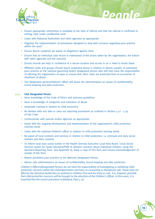

• Ensure appropriate information is available at the time of referral and that the referral is confirmed in writing, kept under confidential cover

*People*

- Liaise with Statutory Authorities and other agencies as appropriate
- Organise the implementation of procedures designed to deal with concerns regarding poor practice within the sport
- Ensure Sports Leader(s) are aware of allegations against them
- Ensure that an individual case record is maintained of the action taken by the organisation, the liaison with other agencies and the outcome
- Ensure records are kept in confidence in a secure location and access is on a 'need to know' basis
- Affiliated clubs and groups should report suspected abuse in relation to Sports Leaders or persistent poor practice to the national governing body's designated person who will then have the responsibility of advising the organisation of ways to ensure that other clubs are protected from re-occurrence of situations of abuse
- The designated person/children's officer will assist the administration on issues of confidentiality, record keeping and data protection.

## **2.9.2 Club Designated Person**

- Have knowledge of the Code of Ethics and statutory guidelines
- Have a knowledge of categories and indicators of abuse
- Undertake training in relation to child protection
- Be familiar with and able to carry out reporting procedures as outlined in Section 5.12 5.19 of this Code
- Communicate with parents and/or agencies as appropriate
- Assist with the ongoing development and implementation of the organisation's child protection training needs
- Liaise with the national children's officer in relation to child protection training needs
- Be aware of local contacts and services in relation to child protection, i.e. principal and duty social workers and their contacts
- To inform local duty social worker in the Health Services Executive Local Area Board / local Social Services and/or An Garda Síochána/PSNI of relevant concerns about individual children, using the Standard Reporting Form, (see Appendix 6). Keep a copy of this form and ensure acknowledgement of receipt of this form
- Report persistent poor practice to the National Designated Person
- Advise club administrators on issues of confidentiality, record keeping and data protection

*Children's Officers/Designated Persons do not have the responsibility of investigating or validating child protection concerns within the club/organisation and have no counseling or therapeutic role. These roles are filled by the Statutory Authorities as outlined in Children First and Our Duty to Care. It is, however, possible that child protection concerns will be brought to the attention of the Children's Officer. In this event, it is essential that the correct procedure is followed, (See 5.12)*